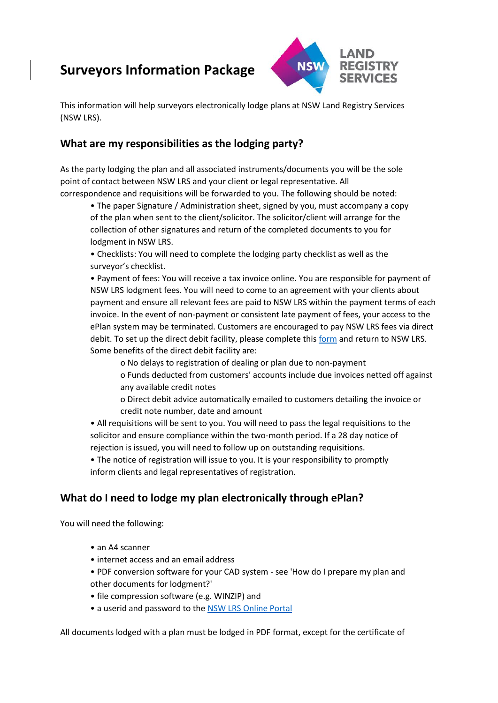# **Surveyors Information Package**



This information will help surveyors electronically lodge plans at NSW Land Registry Services (NSW LRS).

#### **What are my responsibilities as the lodging party?**

As the party lodging the plan and all associated instruments/documents you will be the sole point of contact between NSW LRS and your client or legal representative. All correspondence and requisitions will be forwarded to you. The following should be noted:

• The paper Signature / Administration sheet, signed by you, must accompany a copy of the plan when sent to the client/solicitor. The solicitor/client will arrange for the collection of other signatures and return of the completed documents to you for lodgment in NSW LRS.

• Checklists: You will need to complete the lodging party checklist as well as the surveyor's checklist.

• Payment of fees: You will receive a tax invoice online. You are responsible for payment of NSW LRS lodgment fees. You will need to come to an agreement with your clients about payment and ensure all relevant fees are paid to NSW LRS within the payment terms of each invoice. In the event of non-payment or consistent late payment of fees, your access to the ePlan system may be terminated. Customers are encouraged to pay NSW LRS fees via direct debit. To set up the direct debit facility, please complete this [form](https://nswlrs.com.au/getattachment/7d5d824a-4fbc-42bc-94f1-a7fab9eb2200/attachment.aspx) and return to NSW LRS. Some benefits of the direct debit facility are:

o No delays to registration of dealing or plan due to non-payment

o Funds deducted from customers' accounts include due invoices netted off against any available credit notes

o Direct debit advice automatically emailed to customers detailing the invoice or credit note number, date and amount

• All requisitions will be sent to you. You will need to pass the legal requisitions to the solicitor and ensure compliance within the two-month period. If a 28 day notice of rejection is issued, you will need to follow up on outstanding requisitions.

• The notice of registration will issue to you. It is your responsibility to promptly inform clients and legal representatives of registration.

# **What do I need to lodge my plan electronically through ePlan?**

You will need the following:

- an A4 scanner
- internet access and an email address
- PDF conversion software for your CAD system see 'How do I prepare my plan and other documents for lodgment?'
- file compression software (e.g. WINZIP) and
- a userid and password to the [NSW LRS Online Portal](https://online.nswlrs.com.au/)

All documents lodged with a plan must be lodged in PDF format, except for the certificate of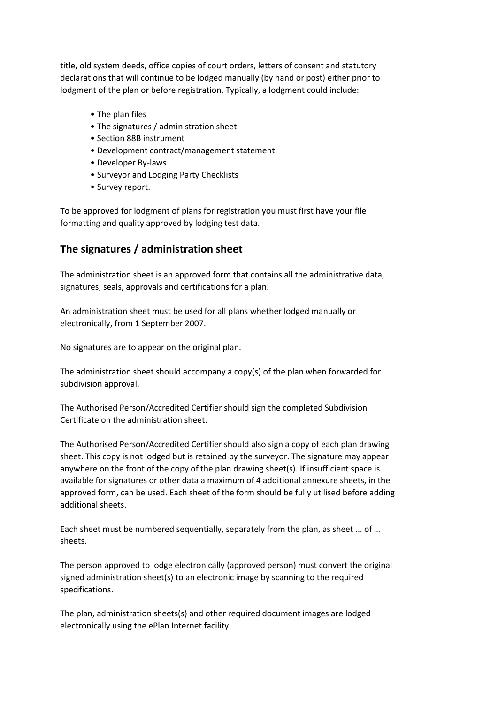title, old system deeds, office copies of court orders, letters of consent and statutory declarations that will continue to be lodged manually (by hand or post) either prior to lodgment of the plan or before registration. Typically, a lodgment could include:

- The plan files
- The signatures / administration sheet
- Section 88B instrument
- Development contract/management statement
- Developer By-laws
- Surveyor and Lodging Party Checklists
- Survey report.

To be approved for lodgment of plans for registration you must first have your file formatting and quality approved by lodging test data.

#### **The signatures / administration sheet**

The administration sheet is an approved form that contains all the administrative data, signatures, seals, approvals and certifications for a plan.

An administration sheet must be used for all plans whether lodged manually or electronically, from 1 September 2007.

No signatures are to appear on the original plan.

The administration sheet should accompany a copy(s) of the plan when forwarded for subdivision approval.

The Authorised Person/Accredited Certifier should sign the completed Subdivision Certificate on the administration sheet.

The Authorised Person/Accredited Certifier should also sign a copy of each plan drawing sheet. This copy is not lodged but is retained by the surveyor. The signature may appear anywhere on the front of the copy of the plan drawing sheet(s). If insufficient space is available for signatures or other data a maximum of 4 additional annexure sheets, in the approved form, can be used. Each sheet of the form should be fully utilised before adding additional sheets.

Each sheet must be numbered sequentially, separately from the plan, as sheet ... of … sheets.

The person approved to lodge electronically (approved person) must convert the original signed administration sheet(s) to an electronic image by scanning to the required specifications.

The plan, administration sheets(s) and other required document images are lodged electronically using the ePlan Internet facility.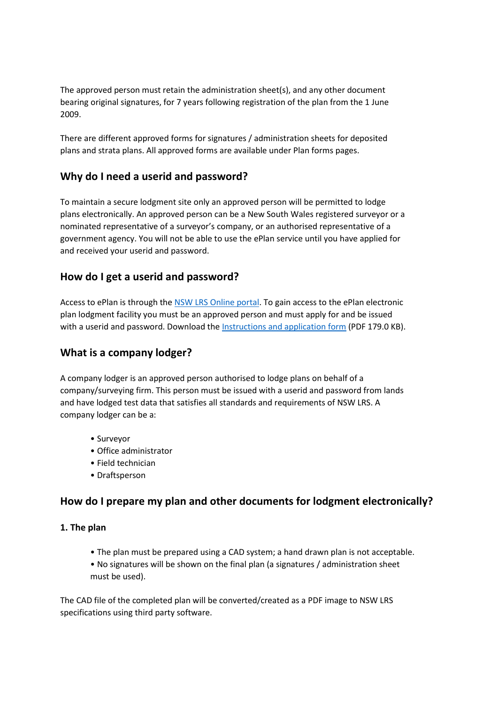The approved person must retain the administration sheet(s), and any other document bearing original signatures, for 7 years following registration of the plan from the 1 June 2009.

There are different approved forms for signatures / administration sheets for deposited plans and strata plans. All approved forms are available under Plan forms pages.

#### **Why do I need a userid and password?**

To maintain a secure lodgment site only an approved person will be permitted to lodge plans electronically. An approved person can be a New South Wales registered surveyor or a nominated representative of a surveyor's company, or an authorised representative of a government agency. You will not be able to use the ePlan service until you have applied for and received your userid and password.

#### **How do I get a userid and password?**

Access to ePlan is through th[e NSW LRS Online portal.](https://online.nswlrs.com.au/) To gain access to the ePlan electronic plan lodgment facility you must be an approved person and must apply for and be issued with a userid and password. Download the [Instructions and application form](https://www.nswlrs.com.au/getdoc/9f86a93f-8dcf-4652-9d6c-8207266e4190/ePlan-Instructions-and-application-forms.aspx) (PDF 179.0 KB).

#### **What is a company lodger?**

A company lodger is an approved person authorised to lodge plans on behalf of a company/surveying firm. This person must be issued with a userid and password from lands and have lodged test data that satisfies all standards and requirements of NSW LRS. A company lodger can be a:

- Surveyor
- Office administrator
- Field technician
- Draftsperson

#### **How do I prepare my plan and other documents for lodgment electronically?**

#### **1. The plan**

- The plan must be prepared using a CAD system; a hand drawn plan is not acceptable.
- No signatures will be shown on the final plan (a signatures / administration sheet must be used).

The CAD file of the completed plan will be converted/created as a PDF image to NSW LRS specifications using third party software.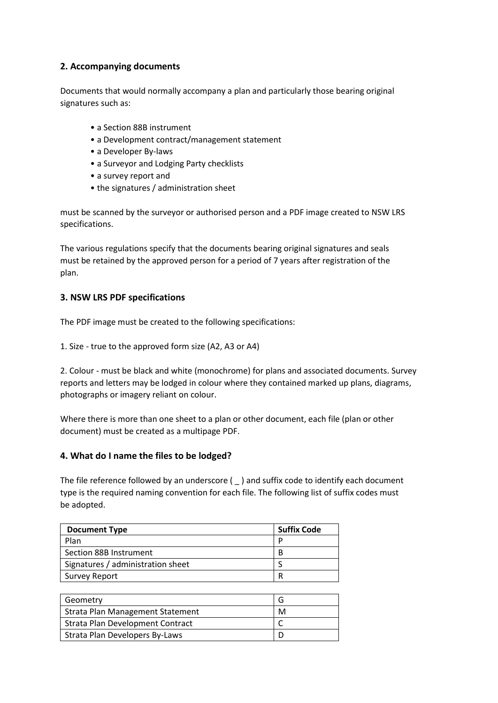#### **2. Accompanying documents**

Documents that would normally accompany a plan and particularly those bearing original signatures such as:

- a Section 88B instrument
- a Development contract/management statement
- a Developer By-laws
- a Surveyor and Lodging Party checklists
- a survey report and
- the signatures / administration sheet

must be scanned by the surveyor or authorised person and a PDF image created to NSW LRS specifications.

The various regulations specify that the documents bearing original signatures and seals must be retained by the approved person for a period of 7 years after registration of the plan.

#### **3. NSW LRS PDF specifications**

The PDF image must be created to the following specifications:

1. Size - true to the approved form size (A2, A3 or A4)

2. Colour - must be black and white (monochrome) for plans and associated documents. Survey reports and letters may be lodged in colour where they contained marked up plans, diagrams, photographs or imagery reliant on colour.

Where there is more than one sheet to a plan or other document, each file (plan or other document) must be created as a multipage PDF.

#### **4. What do I name the files to be lodged?**

The file reference followed by an underscore  $($   $)$  and suffix code to identify each document type is the required naming convention for each file. The following list of suffix codes must be adopted.

| <b>Document Type</b>              | <b>Suffix Code</b> |
|-----------------------------------|--------------------|
| Plan                              | D                  |
| Section 88B Instrument            | В                  |
| Signatures / administration sheet |                    |
| <b>Survey Report</b>              |                    |

| Geometry                                |   |
|-----------------------------------------|---|
| Strata Plan Management Statement        | М |
| <b>Strata Plan Development Contract</b> |   |
| Strata Plan Developers By-Laws          |   |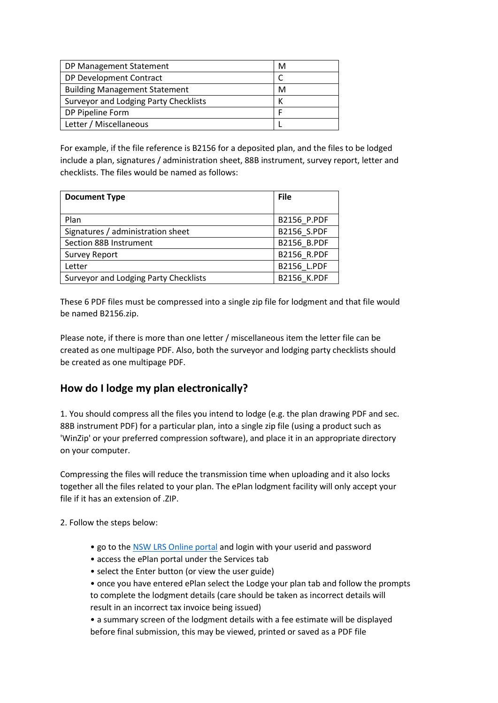| DP Management Statement               | м |
|---------------------------------------|---|
| DP Development Contract               |   |
| <b>Building Management Statement</b>  | м |
| Surveyor and Lodging Party Checklists |   |
| DP Pipeline Form                      |   |
| Letter / Miscellaneous                |   |

For example, if the file reference is B2156 for a deposited plan, and the files to be lodged include a plan, signatures / administration sheet, 88B instrument, survey report, letter and checklists. The files would be named as follows:

| <b>Document Type</b>                         | <b>File</b> |
|----------------------------------------------|-------------|
| Plan                                         | B2156_P.PDF |
| Signatures / administration sheet            | B2156 S.PDF |
| Section 88B Instrument                       | B2156 B.PDF |
| <b>Survey Report</b>                         | B2156 R.PDF |
| Letter                                       | B2156 L.PDF |
| <b>Surveyor and Lodging Party Checklists</b> | B2156 K.PDF |

These 6 PDF files must be compressed into a single zip file for lodgment and that file would be named B2156.zip.

Please note, if there is more than one letter / miscellaneous item the letter file can be created as one multipage PDF. Also, both the surveyor and lodging party checklists should be created as one multipage PDF.

#### **How do I lodge my plan electronically?**

1. You should compress all the files you intend to lodge (e.g. the plan drawing PDF and sec. 88B instrument PDF) for a particular plan, into a single zip file (using a product such as 'WinZip' or your preferred compression software), and place it in an appropriate directory on your computer.

Compressing the files will reduce the transmission time when uploading and it also locks together all the files related to your plan. The ePlan lodgment facility will only accept your file if it has an extension of .ZIP.

2. Follow the steps below:

- go to the [NSW LRS Online portal](https://online.nswlrs.com.au/) and login with your userid and password
- access the ePlan portal under the Services tab
- select the Enter button (or view the user guide)

• once you have entered ePlan select the Lodge your plan tab and follow the prompts to complete the lodgment details (care should be taken as incorrect details will result in an incorrect tax invoice being issued)

• a summary screen of the lodgment details with a fee estimate will be displayed before final submission, this may be viewed, printed or saved as a PDF file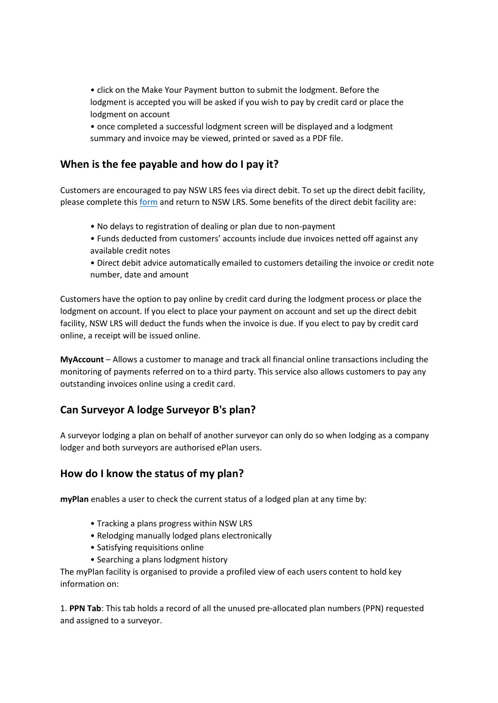• click on the Make Your Payment button to submit the lodgment. Before the lodgment is accepted you will be asked if you wish to pay by credit card or place the lodgment on account

• once completed a successful lodgment screen will be displayed and a lodgment summary and invoice may be viewed, printed or saved as a PDF file.

## **When is the fee payable and how do I pay it?**

Customers are encouraged to pay NSW LRS fees via direct debit. To set up the direct debit facility, please complete thi[s form](https://nswlrs.com.au/getattachment/7d5d824a-4fbc-42bc-94f1-a7fab9eb2200/attachment.aspx) and return to NSW LRS. Some benefits of the direct debit facility are:

- No delays to registration of dealing or plan due to non-payment
- Funds deducted from customers' accounts include due invoices netted off against any available credit notes

• Direct debit advice automatically emailed to customers detailing the invoice or credit note number, date and amount

Customers have the option to pay online by credit card during the lodgment process or place the lodgment on account. If you elect to place your payment on account and set up the direct debit facility, NSW LRS will deduct the funds when the invoice is due. If you elect to pay by credit card online, a receipt will be issued online.

**MyAccount** – Allows a customer to manage and track all financial online transactions including the monitoring of payments referred on to a third party. This service also allows customers to pay any outstanding invoices online using a credit card.

#### **Can Surveyor A lodge Surveyor B's plan?**

A surveyor lodging a plan on behalf of another surveyor can only do so when lodging as a company lodger and both surveyors are authorised ePlan users.

#### **How do I know the status of my plan?**

**myPlan** enables a user to check the current status of a lodged plan at any time by:

- Tracking a plans progress within NSW LRS
- Relodging manually lodged plans electronically
- Satisfying requisitions online
- Searching a plans lodgment history

The myPlan facility is organised to provide a profiled view of each users content to hold key information on:

1. **PPN Tab**: This tab holds a record of all the unused pre-allocated plan numbers (PPN) requested and assigned to a surveyor.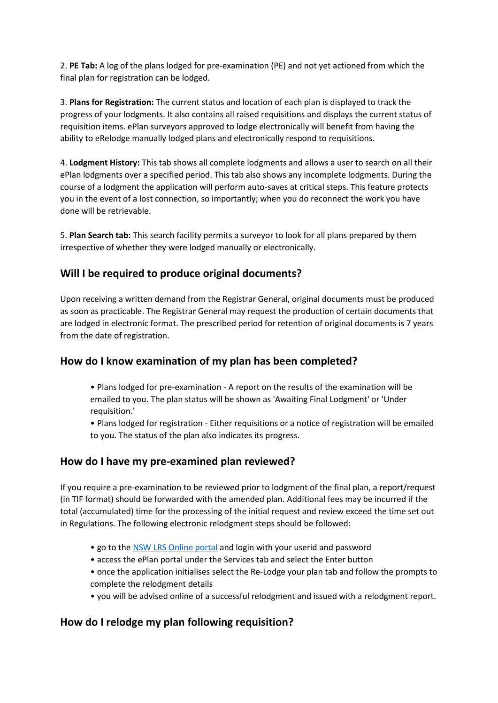2. **PE Tab:** A log of the plans lodged for pre-examination (PE) and not yet actioned from which the final plan for registration can be lodged.

3. **Plans for Registration:** The current status and location of each plan is displayed to track the progress of your lodgments. It also contains all raised requisitions and displays the current status of requisition items. ePlan surveyors approved to lodge electronically will benefit from having the ability to eRelodge manually lodged plans and electronically respond to requisitions.

4. **Lodgment History:** This tab shows all complete lodgments and allows a user to search on all their ePlan lodgments over a specified period. This tab also shows any incomplete lodgments. During the course of a lodgment the application will perform auto-saves at critical steps. This feature protects you in the event of a lost connection, so importantly; when you do reconnect the work you have done will be retrievable.

5. **Plan Search tab:** This search facility permits a surveyor to look for all plans prepared by them irrespective of whether they were lodged manually or electronically.

## **Will I be required to produce original documents?**

Upon receiving a written demand from the Registrar General, original documents must be produced as soon as practicable. The Registrar General may request the production of certain documents that are lodged in electronic format. The prescribed period for retention of original documents is 7 years from the date of registration.

#### **How do I know examination of my plan has been completed?**

• Plans lodged for pre-examination - A report on the results of the examination will be emailed to you. The plan status will be shown as 'Awaiting Final Lodgment' or 'Under requisition.'

• Plans lodged for registration - Either requisitions or a notice of registration will be emailed to you. The status of the plan also indicates its progress.

# **How do I have my pre-examined plan reviewed?**

If you require a pre-examination to be reviewed prior to lodgment of the final plan, a report/request (in TIF format) should be forwarded with the amended plan. Additional fees may be incurred if the total (accumulated) time for the processing of the initial request and review exceed the time set out in Regulations. The following electronic relodgment steps should be followed:

- go to the [NSW LRS Online portal](https://online.nswlrs.com.au/) and login with your userid and password
- access the ePlan portal under the Services tab and select the Enter button
- once the application initialises select the Re-Lodge your plan tab and follow the prompts to complete the relodgment details
- you will be advised online of a successful relodgment and issued with a relodgment report.

# **How do I relodge my plan following requisition?**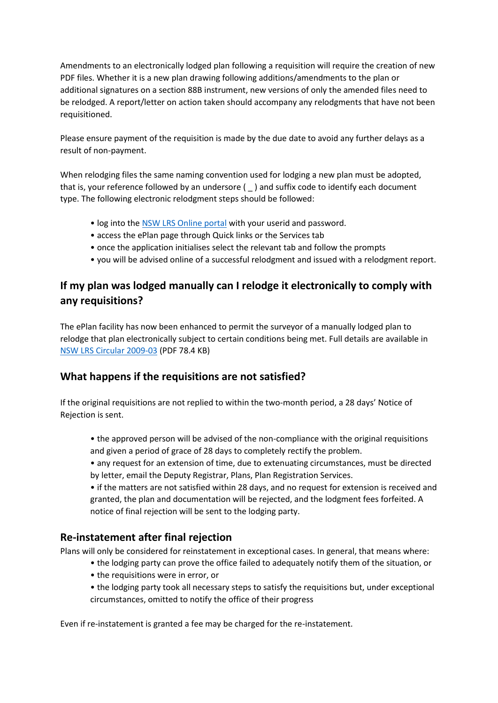Amendments to an electronically lodged plan following a requisition will require the creation of new PDF files. Whether it is a new plan drawing following additions/amendments to the plan or additional signatures on a section 88B instrument, new versions of only the amended files need to be relodged. A report/letter on action taken should accompany any relodgments that have not been requisitioned.

Please ensure payment of the requisition is made by the due date to avoid any further delays as a result of non-payment.

When relodging files the same naming convention used for lodging a new plan must be adopted, that is, your reference followed by an undersore ( \_ ) and suffix code to identify each document type. The following electronic relodgment steps should be followed:

- log into the [NSW LRS Online portal](https://online.nswlrs.com.au/) with your userid and password.
- access the ePlan page through Quick links or the Services tab
- once the application initialises select the relevant tab and follow the prompts
- you will be advised online of a successful relodgment and issued with a relodgment report.

# **If my plan was lodged manually can I relodge it electronically to comply with any requisitions?**

The ePlan facility has now been enhanced to permit the surveyor of a manually lodged plan to relodge that plan electronically subject to certain conditions being met. Full details are available in [NSW LRS Circular 2009-03](https://nswlrs.com.au/getattachment/117cc490-c2b4-4e88-8063-2ff200ced5fc/attachment.aspx) (PDF 78.4 KB)

# **What happens if the requisitions are not satisfied?**

If the original requisitions are not replied to within the two-month period, a 28 days' Notice of Rejection is sent.

• the approved person will be advised of the non-compliance with the original requisitions and given a period of grace of 28 days to completely rectify the problem.

• any request for an extension of time, due to extenuating circumstances, must be directed by letter, email the Deputy Registrar, Plans, Plan Registration Services.

• if the matters are not satisfied within 28 days, and no request for extension is received and granted, the plan and documentation will be rejected, and the lodgment fees forfeited. A notice of final rejection will be sent to the lodging party.

#### **Re-instatement after final rejection**

Plans will only be considered for reinstatement in exceptional cases. In general, that means where:

- the lodging party can prove the office failed to adequately notify them of the situation, or
- the requisitions were in error, or
- the lodging party took all necessary steps to satisfy the requisitions but, under exceptional circumstances, omitted to notify the office of their progress

Even if re-instatement is granted a fee may be charged for the re-instatement.